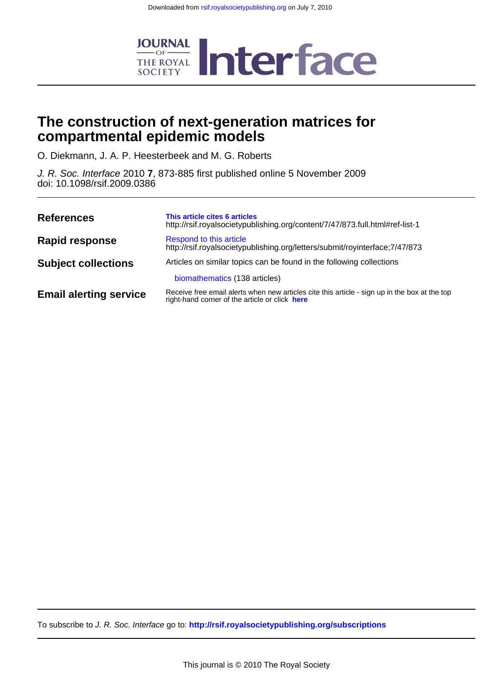

# **compartmental epidemic models The construction of next-generation matrices for**

O. Diekmann, J. A. P. Heesterbeek and M. G. Roberts

doi: 10.1098/rsif.2009.0386 J. R. Soc. Interface 2010 **7**, 873-885 first published online 5 November 2009

| <b>References</b>             | This article cites 6 articles<br>http://rsif.royalsocietypublishing.org/content/7/47/873.full.html#ref-list-1                                   |
|-------------------------------|-------------------------------------------------------------------------------------------------------------------------------------------------|
| <b>Rapid response</b>         | Respond to this article<br>http://rsif.royalsocietypublishing.org/letters/submit/royinterface;7/47/873                                          |
| <b>Subject collections</b>    | Articles on similar topics can be found in the following collections                                                                            |
|                               | biomathematics (138 articles)                                                                                                                   |
| <b>Email alerting service</b> | Receive free email alerts when new articles cite this article - sign up in the box at the top<br>right-hand corner of the article or click here |

To subscribe to J. R. Soc. Interface go to: **<http://rsif.royalsocietypublishing.org/subscriptions>**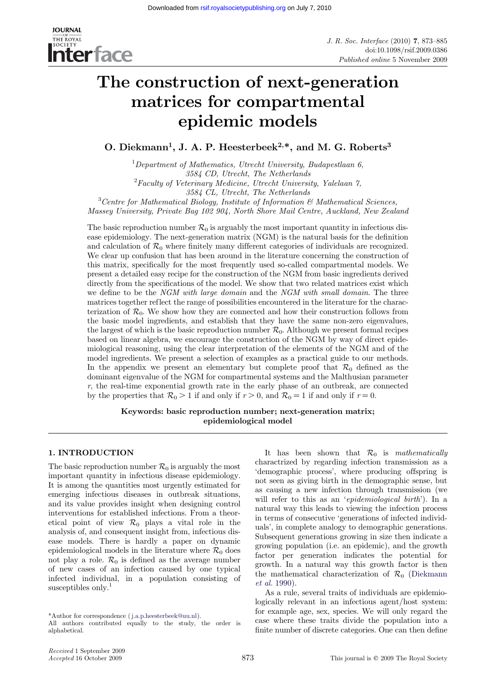

# The construction of next-generation matrices for compartmental epidemic models

O. Diekmann<sup>1</sup>, J. A. P. Heesterbeek<sup>2,\*</sup>, and M. G. Roberts<sup>3</sup>

 ${}^{1}$ Department of Mathematics, Utrecht University, Budapestlaan 6,  $3584$  CD, Utrecht, The Netherlands<br><sup>2</sup> Faculty of Veterinary Medicine, Utrecht University, Yalelaan 7, 3584 CL, Utrecht, The Netherlands

<sup>3</sup> Centre for Mathematical Biology, Institute of Information & Mathematical Sciences, Massey University, Private Bag 102 904, North Shore Mail Centre, Auckland, New Zealand

The basic reproduction number  $\mathcal{R}_0$  is arguably the most important quantity in infectious disease epidemiology. The next-generation matrix (NGM) is the natural basis for the definition and calculation of  $\mathcal{R}_0$  where finitely many different categories of individuals are recognized. We clear up confusion that has been around in the literature concerning the construction of this matrix, specifically for the most frequently used so-called compartmental models. We present a detailed easy recipe for the construction of the NGM from basic ingredients derived directly from the specifications of the model. We show that two related matrices exist which we define to be the NGM with large domain and the NGM with small domain. The three matrices together reflect the range of possibilities encountered in the literature for the characterization of  $\mathcal{R}_0$ . We show how they are connected and how their construction follows from the basic model ingredients, and establish that they have the same non-zero eigenvalues, the largest of which is the basic reproduction number  $\mathcal{R}_0$ . Although we present formal recipes based on linear algebra, we encourage the construction of the NGM by way of direct epidemiological reasoning, using the clear interpretation of the elements of the NGM and of the model ingredients. We present a selection of examples as a practical guide to our methods. In the appendix we present an elementary but complete proof that  $\mathcal{R}_0$  defined as the dominant eigenvalue of the NGM for compartmental systems and the Malthusian parameter  $r$ , the real-time exponential growth rate in the early phase of an outbreak, are connected by the properties that  $\mathcal{R}_0 > 1$  if and only if  $r > 0$ , and  $\mathcal{R}_0 = 1$  if and only if  $r = 0$ .

Keywords: basic reproduction number; next-generation matrix; epidemiological model

#### 1. INTRODUCTION

The basic reproduction number  $\mathcal{R}_0$  is arguably the most important quantity in infectious disease epidemiology. It is among the quantities most urgently estimated for emerging infectious diseases in outbreak situations, and its value provides insight when designing control interventions for established infections. From a theoretical point of view  $\mathcal{R}_0$  plays a vital role in the analysis of, and consequent insight from, infectious disease models. There is hardly a paper on dynamic epidemiological models in the literature where  $\mathcal{R}_0$  does not play a role.  $\mathcal{R}_0$  is defined as the average number of new cases of an infection caused by one typical infected individual, in a population consisting of susceptibles only. $<sup>1</sup>$ </sup>

It has been shown that  $\mathcal{R}_0$  is mathematically charactrized by regarding infection transmission as a 'demographic process', where producing offspring is not seen as giving birth in the demographic sense, but as causing a new infection through transmission (we will refer to this as an '*epidemiological birth*'). In a natural way this leads to viewing the infection process in terms of consecutive 'generations of infected individuals', in complete analogy to demographic generations. Subsequent generations growing in size then indicate a growing population (i.e. an epidemic), and the growth factor per generation indicates the potential for growth. In a natural way this growth factor is then the mathematical characterization of  $\mathcal{R}_0$  [\(Diekmann](#page-13-0) [et al.](#page-13-0) 1990).

As a rule, several traits of individuals are epidemiologically relevant in an infectious agent/host system: for example age, sex, species. We will only regard the case where these traits divide the population into a finite number of discrete categories. One can then define

<sup>\*</sup>Author for correspondence ([j.a.p.heesterbeek@uu.nl\)](mailto:j.a.p.heesterbeek@uu.nl).

All authors contributed equally to the study, the order is alphabetical.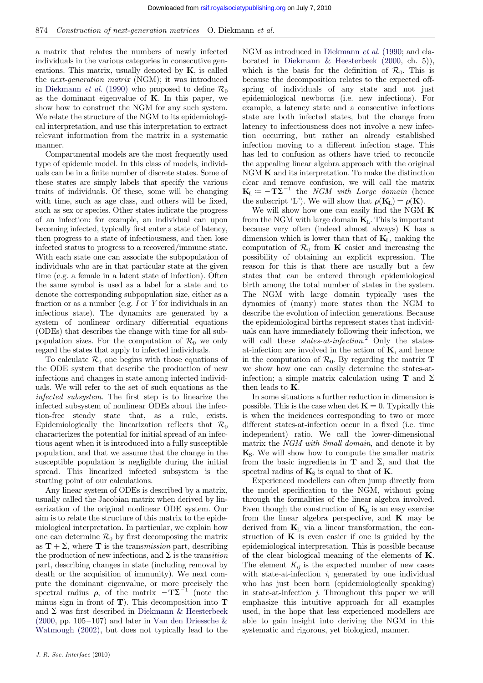a matrix that relates the numbers of newly infected individuals in the various categories in consecutive generations. This matrix, usually denoted by  $K$ , is called the next-generation matrix (NGM); it was introduced in [Diekmann](#page-13-0) et al. (1990) who proposed to define  $\mathcal{R}_0$ as the dominant eigenvalue of  $K$ . In this paper, we show how to construct the NGM for any such system. We relate the structure of the NGM to its epidemiological interpretation, and use this interpretation to extract relevant information from the matrix in a systematic manner.

Compartmental models are the most frequently used type of epidemic model. In this class of models, individuals can be in a finite number of discrete states. Some of these states are simply labels that specify the various traits of individuals. Of these, some will be changing with time, such as age class, and others will be fixed, such as sex or species. Other states indicate the progress of an infection: for example, an individual can upon becoming infected, typically first enter a state of latency, then progress to a state of infectiousness, and then lose infected status to progress to a recovered/immune state. With each state one can associate the subpopulation of individuals who are in that particular state at the given time (e.g. a female in a latent state of infection). Often the same symbol is used as a label for a state and to denote the corresponding subpopulation size, either as a fraction or as a number (e.g.  $I$  or  $Y$  for individuals in an infectious state). The dynamics are generated by a system of nonlinear ordinary differential equations (ODEs) that describes the change with time for all subpopulation sizes. For the computation of  $\mathcal{R}_0$  we only regard the states that apply to infected individuals.

To calculate  $\mathcal{R}_0$  one begins with those equations of the ODE system that describe the production of new infections and changes in state among infected individuals. We will refer to the set of such equations as the infected subsystem. The first step is to linearize the infected subsystem of nonlinear ODEs about the infection-free steady state that, as a rule, exists. Epidemiologically the linearization reflects that  $\mathcal{R}_0$ characterizes the potential for initial spread of an infectious agent when it is introduced into a fully susceptible population, and that we assume that the change in the susceptible population is negligible during the initial spread. This linearized infected subsystem is the starting point of our calculations.

Any linear system of ODEs is described by a matrix, usually called the Jacobian matrix when derived by linearization of the original nonlinear ODE system. Our aim is to relate the structure of this matrix to the epidemiological interpretation. In particular, we explain how one can determine  $\mathcal{R}_0$  by first decomposing the matrix as  $\mathbf{T} + \Sigma$ , where **T** is the transmission part, describing the production of new infections, and  $\Sigma$  is the transition part, describing changes in state (including removal by death or the acquisition of immunity). We next compute the dominant eigenvalue, or more precisely the spectral radius  $\rho$ , of the matrix  $-\mathbf{T}\Sigma^{-1}$  (note the minus sign in front of  $T$ ). This decomposition into  $T$ and  $\Sigma$  was first described in [Diekmann & Heesterbeek](#page-13-0)  $(2000, pp. 105-107)$  $(2000, pp. 105-107)$  and later in [Van den Driessche &](#page-13-0) [Watmough \(2002\)](#page-13-0), but does not typically lead to the

NGM as introduced in [Diekmann](#page-13-0) et al. (1990; and elaborated in [Diekmann & Heesterbeek \(2000](#page-13-0), ch. 5)), which is the basis for the definition of  $\mathcal{R}_0$ . This is because the decomposition relates to the expected offspring of individuals of any state and not just epidemiological newborns (i.e. new infections). For example, a latency state and a consecutive infectious state are both infected states, but the change from latency to infectiousness does not involve a new infection occurring, but rather an already established infection moving to a different infection stage. This has led to confusion as others have tried to reconcile the appealing linear algebra approach with the original  $NGM K$  and its interpretation. To make the distinction clear and remove confusion, we will call the matrix  $\mathbf{K}_{\mathrm{L}} = -\mathbf{T}\mathbf{\Sigma}^{-1}$  the *NGM with Large domain* (hence the subscript 'L'). We will show that  $\rho(\mathbf{K}_{\text{L}}) = \rho(\mathbf{K})$ .

We will show how one can easily find the NGM K from the NGM with large domain  $K<sub>L</sub>$ . This is important because very often (indeed almost always)  $\bf{K}$  has a dimension which is lower than that of  $K<sub>L</sub>$ , making the computation of  $\mathcal{R}_0$  from **K** easier and increasing the possibility of obtaining an explicit expression. The reason for this is that there are usually but a few states that can be entered through epidemiological birth among the total number of states in the system. The NGM with large domain typically uses the dynamics of (many) more states than the NGM to describe the evolution of infection generations. Because the epidemiological births represent states that individuals can have immediately following their infection, we will call these *states-at-infection*.<sup>[2](#page-12-0)</sup> Only the statesat-infection are involved in the action of  $K$ , and hence in the computation of  $\mathcal{R}_0$ . By regarding the matrix **T** we show how one can easily determine the states-atinfection; a simple matrix calculation using **T** and  $\Sigma$ then leads to K.

In some situations a further reduction in dimension is possible. This is the case when det  $\mathbf{K} = 0$ . Typically this is when the incidences corresponding to two or more different states-at-infection occur in a fixed (i.e. time independent) ratio. We call the lower-dimensional matrix the NGM with Small domain, and denote it by  $\mathbf{K}_\mathbf{S}$ . We will show how to compute the smaller matrix from the basic ingredients in  $\mathbf T$  and  $\Sigma$ , and that the spectral radius of  $\mathbf{K}_{\rm S}$  is equal to that of  $\mathbf{K}$ .

Experienced modellers can often jump directly from the model specification to the NGM, without going through the formalities of the linear algebra involved. Even though the construction of  $K<sub>L</sub>$  is an easy exercise from the linear algebra perspective, and  $K$  may be derived from  $K<sub>L</sub>$  via a linear transformation, the construction of  $\bf{K}$  is even easier if one is guided by the epidemiological interpretation. This is possible because of the clear biological meaning of the elements of  $K$ . The element  $K_{ij}$  is the expected number of new cases with state-at-infection  $i$ , generated by one individual who has just been born (epidemiologically speaking) in state-at-infection  $j$ . Throughout this paper we will emphasize this intuitive approach for all examples used, in the hope that less experienced modellers are able to gain insight into deriving the NGM in this systematic and rigorous, yet biological, manner.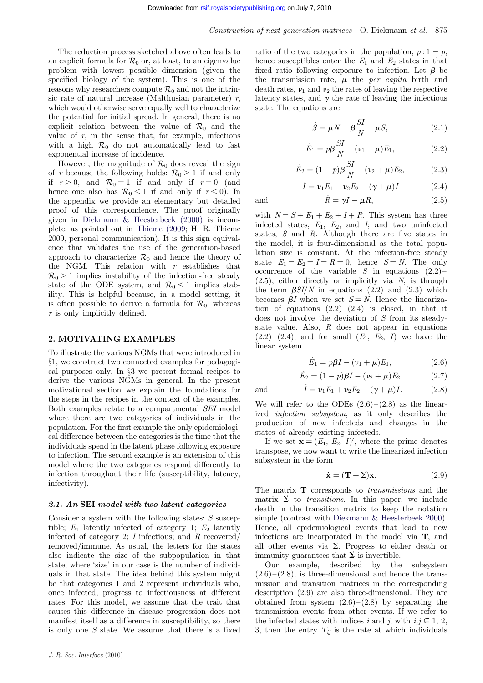The reduction process sketched above often leads to an explicit formula for  $\mathcal{R}_0$  or, at least, to an eigenvalue problem with lowest possible dimension (given the specified biology of the system). This is one of the reasons why researchers compute  $\mathcal{R}_0$  and not the intrinsic rate of natural increase (Malthusian parameter)  $r$ , which would otherwise serve equally well to characterize the potential for initial spread. In general, there is no explicit relation between the value of  $\mathcal{R}_0$  and the value of  $r$ , in the sense that, for example, infections with a high  $\mathcal{R}_0$  do not automatically lead to fast exponential increase of incidence.

However, the magnitude of  $\mathcal{R}_0$  does reveal the sign of r because the following holds:  $\mathcal{R}_0 > 1$  if and only if  $r > 0$ , and  $\mathcal{R}_0 = 1$  if and only if  $r = 0$  (and hence one also has  $\mathcal{R}_0 < 1$  if and only if  $r < 0$ ). In the appendix we provide an elementary but detailed proof of this correspondence. The proof originally given in [Diekmann & Heesterbeek \(2000\)](#page-13-0) is incomplete, as pointed out in [Thieme \(2009](#page-13-0); H. R. Thieme 2009, personal communication). It is this sign equivalence that validates the use of the generation-based approach to characterize  $\mathcal{R}_0$  and hence the theory of the NGM. This relation with  $r$  establishes that  $\mathcal{R}_0 > 1$  implies instability of the infection-free steady state of the ODE system, and  $\mathcal{R}_0 < 1$  implies stability. This is helpful because, in a model setting, it is often possible to derive a formula for  $\mathcal{R}_0$ , whereas r is only implicitly defined.

#### 2. MOTIVATING EXAMPLES

To illustrate the various NGMs that were introduced in §1, we construct two connected examples for pedagogical purposes only. In §3 we present formal recipes to derive the various NGMs in general. In the present motivational section we explain the foundations for the steps in the recipes in the context of the examples. Both examples relate to a compartmental SEI model where there are two categories of individuals in the population. For the first example the only epidemiological difference between the categories is the time that the individuals spend in the latent phase following exposure to infection. The second example is an extension of this model where the two categories respond differently to infection throughout their life (susceptibility, latency, infectivity).

#### 2.1. An SEI model with two latent categories

Consider a system with the following states:  $S$  susceptible;  $E_1$  latently infected of category 1;  $E_2$  latently infected of category 2; I infectious; and R recovered/ removed/immune. As usual, the letters for the states also indicate the size of the subpopulation in that state, where 'size' in our case is the number of individuals in that state. The idea behind this system might be that categories 1 and 2 represent individuals who, once infected, progress to infectiousness at different rates. For this model, we assume that the trait that causes this difference in disease progression does not manifest itself as a difference in susceptibility, so there is only one  $S$  state. We assume that there is a fixed

ratio of the two categories in the population,  $p: 1 - p$ , hence susceptibles enter the  $E_1$  and  $E_2$  states in that fixed ratio following exposure to infection. Let  $\beta$  be the transmission rate,  $\mu$  the *per capita* birth and death rates,  $v_1$  and  $v_2$  the rates of leaving the respective latency states, and  $\gamma$  the rate of leaving the infectious state. The equations are

$$
\dot{S} = \mu N - \beta \frac{SI}{N} - \mu S, \qquad (2.1)
$$

$$
\dot{E}_1 = p\beta \frac{SI}{N} - (\nu_1 + \mu)E_1, \qquad (2.2)
$$

$$
\dot{E}_2 = (1 - p)\beta \frac{SI}{N} - (\nu_2 + \mu)E_2, \tag{2.3}
$$

$$
\dot{I} = \nu_1 E_1 + \nu_2 E_2 - (\gamma + \mu)I \tag{2.4}
$$

and  $\dot{R} = \gamma I - \mu R,$  (2.5)

and \_

with  $N = S + E_1 + E_2 + I + R$ . This system has three infected states,  $E_1$ ,  $E_2$ , and  $I$ ; and two uninfected states, S and R. Although there are five states in the model, it is four-dimensional as the total population size is constant. At the infection-free steady state  $E_1 = E_2 = I = R = 0$ , hence  $S = N$ . The only occurrence of the variable S in equations  $(2.2)$  $(2.5)$ , either directly or implicitly via N, is through the term  $\beta SI/N$  in equations (2.2) and (2.3) which becomes  $\beta I$  when we set  $S = N$ . Hence the linearization of equations  $(2.2)$  –  $(2.4)$  is closed, in that it does not involve the deviation of S from its steadystate value. Also,  $R$  does not appear in equations  $(2.2)$  –  $(2.4)$ , and for small  $(E_1, E_2, I)$  we have the linear system

$$
\dot{E}_1 = p\beta I - (\nu_1 + \mu)E_1, \qquad (2.6)
$$

$$
\dot{E}_2 = (1 - p)\beta I - (\nu_2 + \mu)E_2 \tag{2.7}
$$

$$
I = \nu_1 E_1 + \nu_2 E_2 - (\gamma + \mu)I. \tag{2.8}
$$

We will refer to the ODEs  $(2.6)$  –  $(2.8)$  as the linearized infection subsystem, as it only describes the production of new infecteds and changes in the states of already existing infecteds.

If we set  $\mathbf{x} = (E_1, E_2, I)'$ , where the prime denotes transpose, we now want to write the linearized infection subsystem in the form

$$
\dot{\mathbf{x}} = (\mathbf{T} + \Sigma)\mathbf{x}.\tag{2.9}
$$

The matrix T corresponds to transmissions and the matrix  $\Sigma$  to *transitions*. In this paper, we include death in the transition matrix to keep the notation simple (contrast with [Diekmann & Heesterbeek 2000\)](#page-13-0). Hence, all epidemiological events that lead to new infections are incorporated in the model via T, and all other events via  $\Sigma$ . Progress to either death or immunity guarantees that  $\Sigma$  is invertible.

Our example, described by the subsystem  $(2.6)$  –  $(2.8)$ , is three-dimensional and hence the transmission and transition matrices in the corresponding description (2.9) are also three-dimensional. They are obtained from system  $(2.6)$  –  $(2.8)$  by separating the transmission events from other events. If we refer to the infected states with indices i and j, with  $i, j \in 1, 2$ , 3, then the entry  $T_{ij}$  is the rate at which individuals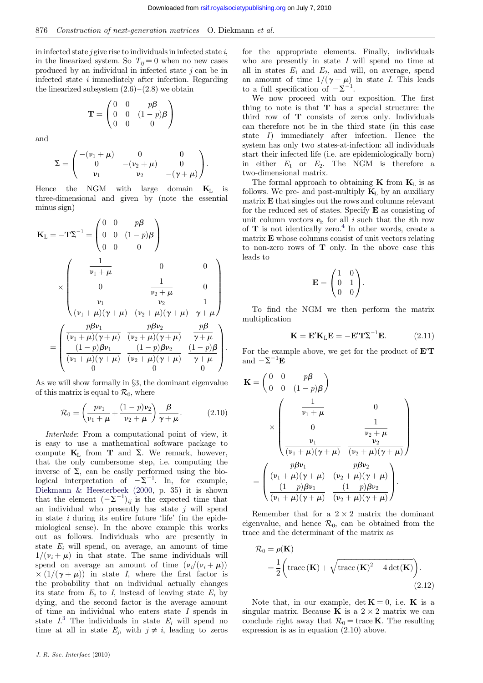in infected state *i* give rise to individuals in infected state  $i$ , in the linearized system. So  $T_{ij} = 0$  when no new cases produced by an individual in infected state  $j$  can be in infected state i immediately after infection. Regarding the linearized subsystem  $(2.6)$ – $(2.8)$  we obtain

$$
\mathbf{T} = \begin{pmatrix} 0 & 0 & p\beta \\ 0 & 0 & (1-p)\beta \\ 0 & 0 & 0 \end{pmatrix}
$$

and

$$
\Sigma = \begin{pmatrix} -(\nu_1 + \mu) & 0 & 0 \\ 0 & -(\nu_2 + \mu) & 0 \\ \nu_1 & \nu_2 & -(\gamma + \mu) \end{pmatrix}.
$$

Hence the NGM with large domain  $K<sub>L</sub>$  is three-dimensional and given by (note the essential minus sign)

$$
\mathbf{K}_{\mathcal{L}} = -\mathbf{T}\Sigma^{-1} = \begin{pmatrix} 0 & 0 & p\beta \\ 0 & 0 & (1-p)\beta \\ 0 & 0 & 0 \end{pmatrix}
$$

$$
\times \begin{pmatrix} \frac{1}{v_1 + \mu} & 0 & 0 \\ 0 & \frac{1}{v_2 + \mu} & 0 \\ \frac{v_1}{(v_1 + \mu)(\gamma + \mu)} & \frac{v_2}{(v_2 + \mu)(\gamma + \mu)} & \frac{1}{\gamma + \mu} \end{pmatrix}
$$

$$
= \begin{pmatrix} \frac{p\beta v_1}{(v_1 + \mu)(\gamma + \mu)} & \frac{p\beta v_2}{(v_2 + \mu)(\gamma + \mu)} & \frac{p\beta}{\gamma + \mu} \\ \frac{(1-p)\beta v_1}{(v_1 + \mu)(\gamma + \mu)} & \frac{(1-p)\beta v_2}{(v_2 + \mu)(\gamma + \mu)} & \frac{(1-p)\beta}{\gamma + \mu} \\ 0 & 0 & 0 \end{pmatrix}.
$$

As we will show formally in §3, the dominant eigenvalue of this matrix is equal to  $\mathcal{R}_0$ , where

$$
\mathcal{R}_0 = \left(\frac{p v_1}{v_1 + \mu} + \frac{(1 - p) v_2}{v_2 + \mu}\right) \frac{\beta}{\gamma + \mu}.
$$
 (2.10)

Interlude: From a computational point of view, it is easy to use a mathematical software package to compute  $K_L$  from T and  $\Sigma$ . We remark, however, that the only cumbersome step, i.e. computing the inverse of  $\Sigma$ , can be easily performed using the biological interpretation of  $-\Sigma^{-1}$ . In, for example, [Diekmann & Heesterbeek \(2000,](#page-13-0) p. 35) it is shown that the element  $(-\Sigma^{-1})_{ij}$  is the expected time that an individual who presently has state  $j$  will spend in state  $i$  during its entire future 'life' (in the epidemiological sense). In the above example this works out as follows. Individuals who are presently in state  $E_i$  will spend, on average, an amount of time  $1/(\nu_i + \mu)$  in that state. The same individuals will spend on average an amount of time  $(v_i/(v_i + \mu))$  $\times$  (1/( $\gamma + \mu$ )) in state I, where the first factor is the probability that an individual actually changes its state from  $E_i$  to I, instead of leaving state  $E_i$  by dying, and the second factor is the average amount of time an individual who enters state I spends in state  $I^3$  $I^3$ . The individuals in state  $E_i$  will spend no time at all in state  $E_j$ , with  $j \neq i$ , leading to zeros

for the appropriate elements. Finally, individuals who are presently in state I will spend no time at all in states  $E_1$  and  $E_2$ , and will, on average, spend an amount of time  $1/(\gamma + \mu)$  in state I. This leads to a full specification of  $-\Sigma^{-1}$ .

We now proceed with our exposition. The first thing to note is that  $T$  has a special structure: the third row of T consists of zeros only. Individuals can therefore not be in the third state (in this case state I) immediately after infection. Hence the system has only two states-at-infection: all individuals start their infected life (i.e. are epidemiologically born) in either  $E_1$  or  $E_2$ . The NGM is therefore a two-dimensional matrix.

The formal approach to obtaining  $\bf{K}$  from  $\bf{K}_{\rm L}$  is as follows. We pre- and post-multiply  $K<sub>L</sub>$  by an auxiliary matrix E that singles out the rows and columns relevant for the reduced set of states. Specify  $E$  as consisting of unit column vectors  $\mathbf{e}_i$ , for all i such that the ith row of  $T$  is not identically zero.<sup>[4](#page-12-0)</sup> In other words, create a matrix E whose columns consist of unit vectors relating to non-zero rows of T only. In the above case this leads to

$$
\mathbf{E} = \begin{pmatrix} 1 & 0 \\ 0 & 1 \\ 0 & 0 \end{pmatrix}.
$$

To find the NGM we then perform the matrix multiplication

$$
\mathbf{K} = \mathbf{E}' \mathbf{K}_{\mathcal{L}} \mathbf{E} = -\mathbf{E}' \mathbf{T} \Sigma^{-1} \mathbf{E}.
$$
 (2.11)

For the example above, we get for the product of  $E'T$ and  $-\Sigma^{-1}E$ 

$$
\mathbf{K} = \begin{pmatrix} 0 & 0 & p\beta \\ 0 & 0 & (1-p)\beta \end{pmatrix}
$$

$$
\times \begin{pmatrix} \frac{1}{v_1 + \mu} & 0 \\ 0 & \frac{1}{v_2 + \mu} \\ \frac{v_1}{(v_1 + \mu)(\gamma + \mu)} & \frac{v_2}{(v_2 + \mu)(\gamma + \mu)} \end{pmatrix}
$$

$$
= \begin{pmatrix} \frac{p\beta v_1}{(v_1 + \mu)(\gamma + \mu)} & \frac{p\beta v_2}{(v_2 + \mu)(\gamma + \mu)} \\ \frac{(1-p)\beta v_1}{(v_1 + \mu)(\gamma + \mu)} & \frac{(1-p)\beta v_2}{(v_2 + \mu)(\gamma + \mu)} \end{pmatrix}.
$$

Remember that for a  $2 \times 2$  matrix the dominant eigenvalue, and hence  $\mathcal{R}_0$ , can be obtained from the trace and the determinant of the matrix as

$$
\mathcal{R}_0 = \rho(\mathbf{K})
$$
  
=  $\frac{1}{2} \left( \text{trace}(\mathbf{K}) + \sqrt{\text{trace}(\mathbf{K})^2 - 4 \text{det}(\mathbf{K})} \right).$  (2.12)

Note that, in our example,  $\det K = 0$ , i.e. K is a singular matrix. Because **K** is a  $2 \times 2$  matrix we can conclude right away that  $\mathcal{R}_0$  = trace **K**. The resulting expression is as in equation (2.10) above.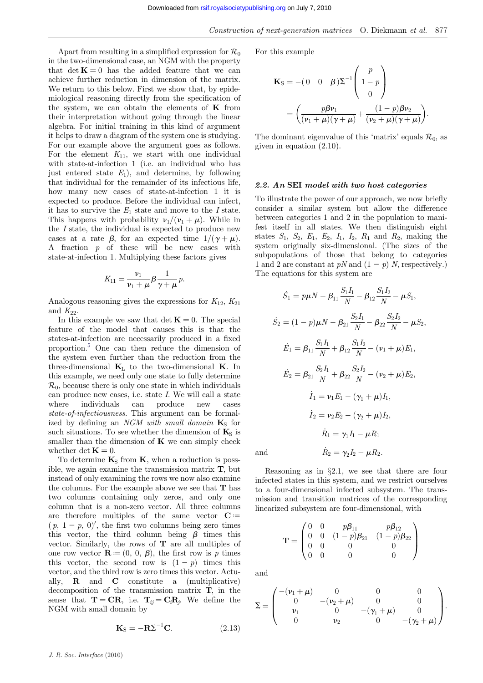Apart from resulting in a simplified expression for  $\mathcal{R}_0$ in the two-dimensional case, an NGM with the property that det  $K = 0$  has the added feature that we can achieve further reduction in dimension of the matrix. We return to this below. First we show that, by epidemiological reasoning directly from the specification of the system, we can obtain the elements of  $K$  from their interpretation without going through the linear algebra. For initial training in this kind of argument it helps to draw a diagram of the system one is studying. For our example above the argument goes as follows. For the element  $K_{11}$ , we start with one individual with state-at-infection 1 (i.e. an individual who has just entered state  $E_1$ ), and determine, by following that individual for the remainder of its infectious life, how many new cases of state-at-infection 1 it is expected to produce. Before the individual can infect, it has to survive the  $E_1$  state and move to the I state. This happens with probability  $v_1/(v_1 + \mu)$ . While in the I state, the individual is expected to produce new cases at a rate  $\beta$ , for an expected time  $1/(\gamma + \mu)$ . A fraction p of these will be new cases with state-at-infection 1. Multiplying these factors gives

$$
K_{11} = \frac{\nu_1}{\nu_1 + \mu} \beta \frac{1}{\gamma + \mu} p.
$$

Analogous reasoning gives the expressions for  $K_{12}$ ,  $K_{21}$ and  $K_{22}$ .

In this example we saw that det  $\mathbf{K} = 0$ . The special feature of the model that causes this is that the states-at-infection are necessarily produced in a fixed proportion.[5](#page-12-0) One can then reduce the dimension of the system even further than the reduction from the three-dimensional  $\mathbf{K}_\text{L}$  to the two-dimensional  $\mathbf{K}_\cdot$  In this example, we need only one state to fully determine  $\mathcal{R}_0$ , because there is only one state in which individuals can produce new cases, i.e. state I. We will call a state where individuals can produce new cases state-of-infectiousness. This argument can be formalized by defining an NGM with small domain  $K<sub>S</sub>$  for such situations. To see whether the dimension of  $\mathbf{K}_{\rm S}$  is smaller than the dimension of  $\bf{K}$  we can simply check whether det  $\mathbf{K} = 0$ .

To determine  $\mathbf{K}_S$  from  $\mathbf{K}$ , when a reduction is possible, we again examine the transmission matrix  $T$ , but instead of only examining the rows we now also examine the columns. For the example above we see that  $T$  has two columns containing only zeros, and only one column that is a non-zero vector. All three columns are therefore multiples of the same vector  $C =$  $(p, 1-p, 0)$ , the first two columns being zero times this vector, the third column being  $\beta$  times this vector. Similarly, the rows of  $T$  are all multiples of one row vector  $\mathbf{R} \coloneqq (0, 0, \beta)$ , the first row is p times this vector, the second row is  $(1 - p)$  times this vector, and the third row is zero times this vector. Actually, R and C constitute a (multiplicative) decomposition of the transmission matrix T, in the sense that  $\mathbf{T} = \mathbf{CR},$  i.e.  $\mathbf{T}_{ij} = \mathbf{C}_i \mathbf{R}_j$ . We define the NGM with small domain by

$$
\mathbf{K}_{\mathrm{S}} = -\mathbf{R} \Sigma^{-1} \mathbf{C}.
$$
 (2.13)

For this example

$$
\mathbf{K}_{\mathrm{S}} = -(0 \quad 0 \quad \beta) \Sigma^{-1} \begin{pmatrix} p \\ 1-p \\ 0 \end{pmatrix}
$$

$$
= \left(\frac{p\beta v_1}{(v_1 + \mu)(\gamma + \mu)} + \frac{(1-p)\beta v_2}{(v_2 + \mu)(\gamma + \mu)}\right).
$$

The dominant eigenvalue of this 'matrix' equals  $\mathcal{R}_0$ , as given in equation (2.10).

#### 2.2. An SEI model with two host categories

To illustrate the power of our approach, we now briefly consider a similar system but allow the difference between categories 1 and 2 in the population to manifest itself in all states. We then distinguish eight states  $S_1$ ,  $S_2$ ,  $E_1$ ,  $E_2$ ,  $I_1$ ,  $I_2$ ,  $R_1$  and  $R_2$ , making the system originally six-dimensional. (The sizes of the subpopulations of those that belong to categories 1 and 2 are constant at  $pN$  and  $(1 - p) N$ , respectively.) The equations for this system are

$$
\dot{S}_1 = p\mu N - \beta_{11} \frac{S_1 I_1}{N} - \beta_{12} \frac{S_1 I_2}{N} - \mu S_1,
$$
  
\n
$$
\dot{S}_2 = (1 - p)\mu N - \beta_{21} \frac{S_2 I_1}{N} - \beta_{22} \frac{S_2 I_2}{N} - \mu S_2,
$$
  
\n
$$
\dot{E}_1 = \beta_{11} \frac{S_1 I_1}{N} + \beta_{12} \frac{S_1 I_2}{N} - (\nu_1 + \mu) E_1,
$$
  
\n
$$
\dot{E}_2 = \beta_{21} \frac{S_2 I_1}{N} + \beta_{22} \frac{S_2 I_2}{N} - (\nu_2 + \mu) E_2,
$$
  
\n
$$
\dot{I}_1 = \nu_1 E_1 - (\gamma_1 + \mu) I_1,
$$
  
\n
$$
\dot{I}_2 = \nu_2 E_2 - (\gamma_2 + \mu) I_2,
$$
  
\n
$$
\dot{R}_1 = \gamma_1 I_1 - \mu R_1
$$
  
\nand  
\n
$$
\dot{R}_2 = \gamma_2 I_2 - \mu R_2.
$$

Reasoning as in §2.1, we see that there are four infected states in this system, and we restrict ourselves to a four-dimensional infected subsystem. The transmission and transition matrices of the corresponding linearized subsystem are four-dimensional, with

$$
\mathbf{T} = \begin{pmatrix} 0 & 0 & p\beta_{11} & p\beta_{12} \\ 0 & 0 & (1-p)\beta_{21} & (1-p)\beta_{22} \\ 0 & 0 & 0 & 0 \\ 0 & 0 & 0 & 0 \end{pmatrix}
$$

and

$$
\Sigma = \begin{pmatrix} -(\nu_1 + \mu) & 0 & 0 & 0 \\ 0 & -(\nu_2 + \mu) & 0 & 0 \\ \nu_1 & 0 & -(\gamma_1 + \mu) & 0 \\ 0 & \nu_2 & 0 & -(\gamma_2 + \mu) \end{pmatrix}.
$$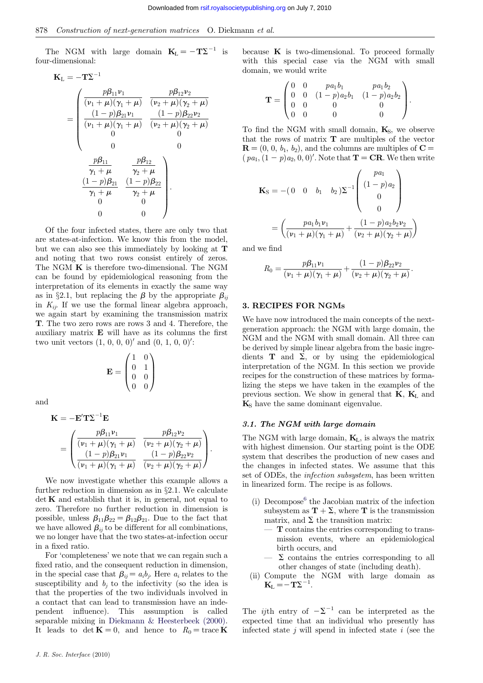The NGM with large domain  $\mathbf{K}_{\text{L}} = -\mathbf{T}\Sigma^{-1}$  is four-dimensional:

$$
\mathbf{K}_{\mathrm{L}} = -\mathbf{T}\Sigma^{-1}
$$
\n
$$
= \begin{pmatrix}\n\frac{p\beta_{11}\nu_1}{(\nu_1 + \mu)(\gamma_1 + \mu)} & \frac{p\beta_{12}\nu_2}{(\nu_2 + \mu)(\gamma_2 + \mu)} \\
\frac{(1-p)\beta_{21}\nu_1}{(\nu_1 + \mu)(\gamma_1 + \mu)} & \frac{(1-p)\beta_{22}\nu_2}{(\nu_2 + \mu)(\gamma_2 + \mu)} \\
0 & 0 \\
0 & 0 \\
\frac{p\beta_{11}}{\gamma_1 + \mu} & \frac{p\beta_{12}}{\gamma_2 + \mu} \\
\frac{(1-p)\beta_{21}}{\gamma_1 + \mu} & \frac{(1-p)\beta_{22}}{\gamma_2 + \mu} \\
0 & 0 \\
0 & 0\n\end{pmatrix}.
$$

Of the four infected states, there are only two that are states-at-infection. We know this from the model, but we can also see this immediately by looking at T and noting that two rows consist entirely of zeros. The NGM K is therefore two-dimensional. The NGM can be found by epidemiological reasoning from the interpretation of its elements in exactly the same way as in §2.1, but replacing the  $\beta$  by the appropriate  $\beta_{ii}$ in  $K_{ij}$ . If we use the formal linear algebra approach, we again start by examining the transmission matrix T. The two zero rows are rows 3 and 4. Therefore, the auxiliary matrix E will have as its columns the first two unit vectors  $(1, 0, 0, 0)'$  and  $(0, 1, 0, 0)'$ :

$$
\mathbf{E} = \begin{pmatrix} 1 & 0 \\ 0 & 1 \\ 0 & 0 \\ 0 & 0 \end{pmatrix}
$$

and

$$
\mathbf{K} = -\mathbf{E}^{\prime} \mathbf{T} \Sigma^{-1} \mathbf{E}
$$
\n
$$
= \begin{pmatrix} \frac{p\beta_{11}\nu_1}{(\nu_1 + \mu)(\gamma_1 + \mu)} & \frac{p\beta_{12}\nu_2}{(\nu_2 + \mu)(\gamma_2 + \mu)} \\ \frac{(1-p)\beta_{21}\nu_1}{(\nu_1 + \mu)(\gamma_1 + \mu)} & \frac{(1-p)\beta_{22}\nu_2}{(\nu_2 + \mu)(\gamma_2 + \mu)} \end{pmatrix}.
$$

We now investigate whether this example allows a further reduction in dimension as in §2.1. We calculate  $\det K$  and establish that it is, in general, not equal to zero. Therefore no further reduction in dimension is possible, unless  $\beta_{11}\beta_{22} = \beta_{12}\beta_{21}$ . Due to the fact that we have allowed  $\beta_{ij}$  to be different for all combinations, we no longer have that the two states-at-infection occur in a fixed ratio.

For 'completeness' we note that we can regain such a fixed ratio, and the consequent reduction in dimension, in the special case that  $\beta_{ij} = a_i b_j$ . Here  $a_i$  relates to the susceptibility and  $b_i$  to the infectivity (so the idea is that the properties of the two individuals involved in a contact that can lead to transmission have an independent influence). This assumption is called separable mixing in [Diekmann & Heesterbeek \(2000\)](#page-13-0). It leads to det  $\mathbf{K} = 0$ , and hence to  $R_0 = \text{trace } \mathbf{K}$ 

$$
\mathbf{T} = \begin{pmatrix} 0 & 0 & pa_1b_1 & pa_1b_2 \\ 0 & 0 & (1-p)a_2b_1 & (1-p)a_2b_2 \\ 0 & 0 & 0 & 0 \\ 0 & 0 & 0 & 0 \end{pmatrix}.
$$

To find the NGM with small domain,  $K<sub>S</sub>$ , we observe that the rows of matrix  $T$  are multiples of the vector  $\mathbf{R} = (0, 0, b_1, b_2)$ , and the columns are multiples of  $\mathbf{C} =$  $(pa_1, (1-p)a_2, 0, 0)$ '. Note that **T** = **CR**. We then write

$$
\mathbf{K}_{\rm S} = -(0 \quad 0 \quad b_1 \quad b_2) \Sigma^{-1} \begin{pmatrix} p a_1 \\ (1-p) a_2 \\ 0 \\ 0 \end{pmatrix}
$$

$$
= \left(\frac{p a_1 b_1 v_1}{(v_1 + \mu)(\gamma_1 + \mu)} + \frac{(1-p) a_2 b_2 v_2}{(v_2 + \mu)(\gamma_2 + \mu)}\right)
$$

and we find

$$
R_0 = \frac{p\beta_{11}\nu_1}{(\nu_1+\mu)(\gamma_1+\mu)} + \frac{(1-p)\beta_{22}\nu_2}{(\nu_2+\mu)(\gamma_2+\mu)}.
$$

## 3. RECIPES FOR NGMs

We have now introduced the main concepts of the nextgeneration approach: the NGM with large domain, the NGM and the NGM with small domain. All three can be derived by simple linear algebra from the basic ingredients **T** and  $\Sigma$ , or by using the epidemiological interpretation of the NGM. In this section we provide recipes for the construction of these matrices by formalizing the steps we have taken in the examples of the previous section. We show in general that  $K$ ,  $K<sub>L</sub>$  and  $K<sub>S</sub>$  have the same dominant eigenvalue.

#### 3.1. The NGM with large domain

The NGM with large domain,  $K<sub>L</sub>$ , is always the matrix with highest dimension. Our starting point is the ODE system that describes the production of new cases and the changes in infected states. We assume that this set of ODEs, the infection subsystem, has been written in linearized form. The recipe is as follows.

- (i)  $Decompose<sup>6</sup>$  $Decompose<sup>6</sup>$  $Decompose<sup>6</sup>$  the Jacobian matrix of the infection subsystem as  $\mathbf{T} + \Sigma$ , where **T** is the transmission matrix, and  $\Sigma$  the transition matrix:
	- T contains the entries corresponding to transmission events, where an epidemiological birth occurs, and
	- $\Sigma$  contains the entries corresponding to all other changes of state (including death).
- (ii) Compute the NGM with large domain as  $\mathbf{K}_{\mathrm{L}} = -\mathbf{T}\Sigma^{-1}.$

The *ij*th entry of  $-\Sigma^{-1}$  can be interpreted as the expected time that an individual who presently has infected state  $i$  will spend in infected state  $i$  (see the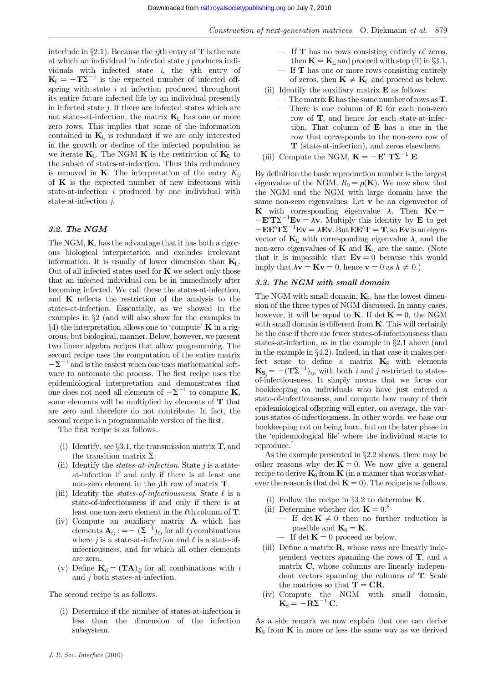interlude in §2.1). Because the *i*th entry of **T** is the rate at which an individual in infected state j produces individuals with infected state  $i$ , the  $ij$ th entry of  $K_L = -T\Sigma^{-1}$  is the expected number of infected offspring with state  $i$  at infection produced throughout its entire future infected life by an individual presently in infected state j. If there are infected states which are not states-at-infection, the matrix  $\mathbf{K}_{\text{L}}$  has one or more zero rows. This implies that some of the information contained in  $K<sub>L</sub>$  is redundant if we are only interested in the growth or decline of the infected population as we iterate  $\mathbf{K}_{\text{L}}$ . The NGM **K** is the restriction of  $\mathbf{K}_{\text{L}}$  to the subset of states-at-infection. Thus this redundancy is removed in **K**. The interpretation of the entry  $K_{ii}$ of  $K$  is the expected number of new infections with state-at-infection i produced by one individual with state-at-infection j.

# 3.2. The NGM

The NGM, K, has the advantage that it has both a rigorous biological interpretation and excludes irrelevant information. It is usually of lower dimension than  $\mathbf{K}_{\text{L}}$ . Out of all infected states used for  $K$  we select only those that an infected individual can be in immediately after becoming infected. We call these the states-at-infection, and K reflects the restriction of the analysis to the states-at-infection. Essentially, as we showed in the examples in §2 (and will also show for the examples in  $\S$ 4) the interpretation allows one to 'compute' **K** in a rigorous, but biological, manner. Below, however, we present two linear algebra recipes that allow programming. The second recipe uses the computation of the entire matrix  $-\Sigma^{-1}$  and is the easiest when one uses mathematical software to automate the process. The first recipe uses the epidemiological interpretation and demonstrates that one does not need all elements of  $-\Sigma^{-1}$  to compute **K**, some elements will be multiplied by elements of  $T$  that are zero and therefore do not contribute. In fact, the second recipe is a programmable version of the first.

The first recipe is as follows.

- (i) Identify, see  $\S 3.1$ , the transmission matrix **T**, and the transition matrix  $\Sigma$ .
- (ii) Identify the *states-at-infection*. State  $j$  is a stateat-infection if and only if there is at least one non-zero element in the  $i$ <sup>th</sup> row of matrix **T**.
- (iii) Identify the *states-of-infectiousness*. State  $\ell$  is a state-of-infectiousness if and only if there is at least one non-zero element in the  $\ell$ th column of **T**.
- (iv) Compute an auxiliary matrix A which has elements  $\mathbf{A}_{\ell j} := -\ (\Sigma^{-1})_{\ell j}$  for all  $\ell j$  combinations where *i* is a state-at-infection and  $\ell$  is a state-ofinfectiousness, and for which all other elements are zero.
- (v) Define  $\mathbf{K}_{ij} = (\mathbf{T}\mathbf{A})_{ij}$  for all combinations with i and j both states-at-infection.

The second recipe is as follows.

(i) Determine if the number of states-at-infection is less than the dimension of the infection subsystem.

- $-$  If **T** has no rows consisting entirely of zeros, then  $\mathbf{K} = \mathbf{K}_{\text{L}}$  and proceed with step (ii) in §3.1.
- If  **has one or more rows consisting entirely**
- of zeros, then  $K \neq K_L$  and proceed as below. (ii) Identify the auxiliary matrix  $E$  as follows:
- - $-$  The matrix **E** has the same number of rows as **T**. — There is one column of  $E$  for each non-zero row of T, and hence for each state-at-infection. That column of E has a one in the row that corresponds to the non-zero row of T (state-at-infection), and zeros elsewhere.
- (iii) Compute the NGM,  $\mathbf{K} = -\mathbf{E}' \mathbf{T} \Sigma^{-1} \mathbf{E}$ .

By definition the basic reproduction number is the largest eigenvalue of the NGM,  $R_0 = \rho(\mathbf{K})$ . We now show that the NGM and the NGM with large domain have the same non-zero eigenvalues. Let v be an eigenvector of **K** with corresponding eigenvalue  $\lambda$ . Then  $Kv =$  $-E'T\Sigma^{-1}$ **Ev** =  $\lambda$ **v**. Multiply this identity by **E** to get  $-EE'T\sum^{-1}Ev = \lambda Ev$ . But  $EE'T = T$ , so Ev is an eigenvector of  $K<sub>L</sub>$  with corresponding eigenvalue  $\lambda$ , and the non-zero eigenvalues of  $\bf{K}$  and  $\bf{K}_{\rm{L}}$  are the same. (Note that it is impossible that  $E_v = 0$  because this would imply that  $\lambda \mathbf{v} = \mathbf{K} \mathbf{v} = 0$ , hence  $\mathbf{v} = 0$  as  $\lambda \neq 0$ .)

## 3.3. The NGM with small domain

The NGM with small domain,  $K_S$ , has the lowest dimension of the three types of NGM discussed. In many cases, however, it will be equal to **K**. If det  $\mathbf{K} = 0$ , the NGM with small domain is different from **K**. This will certainly be the case if there are fewer states-of-infectiousness than states-at-infection, as in the example in §2.1 above (and in the example in §4.2). Indeed, in that case it makes perfect sense to define a matrix  $\mathbf{K}_{\rm S}$  with elements  $\mathbf{K}_{\mathbf{S}_{ij}} = -(\mathbf{T}\mathbf{\Sigma}^{-1})_{ij}$ , with both i and j restricted to statesof-infectiousness. It simply means that we focus our bookkeeping on individuals who have just entered a state-of-infectiousness, and compute how many of their epidemiological offspring will enter, on average, the various states-of-infectiousness. In other words, we base our bookkeeping not on being born, but on the later phase in the 'epidemiological life' where the individual starts to reproduce.

As the example presented in §2.2 shows, there may be other reasons why det  $\mathbf{K} = 0$ . We now give a general recipe to derive  $\mathbf{K}_S$  from  $\mathbf{K}$  (in a manner that works whatever the reason is that det  $\mathbf{K} = 0$ ). The recipe is as follows.

- (i) Follow the recipe in §3.2 to determine  $\mathbf{K}$ .
- (ii) Determine whether det  $\mathbf{K} = 0.8$  $\mathbf{K} = 0.8$ 
	- If det  $\mathbf{K} \neq 0$  then no further reduction is possible and  $\mathbf{K}_{\rm S} = \mathbf{K}$ .
	- If det  $\mathbf{K} = 0$  proceed as below.
- (iii) Define a matrix  $\bf{R}$ , whose rows are linearly independent vectors spanning the rows of T, and a matrix C, whose columns are linearly independent vectors spanning the columns of T. Scale the matrices so that  $T = CR$ .
- (iv) Compute the NGM with small domain,  $\mathbf{K}_\text{S} = -\mathbf{R}\Sigma^{-1}\mathbf{C}.$

As a side remark we now explain that one can derive  $K<sub>S</sub>$  from  $K$  in more or less the same way as we derived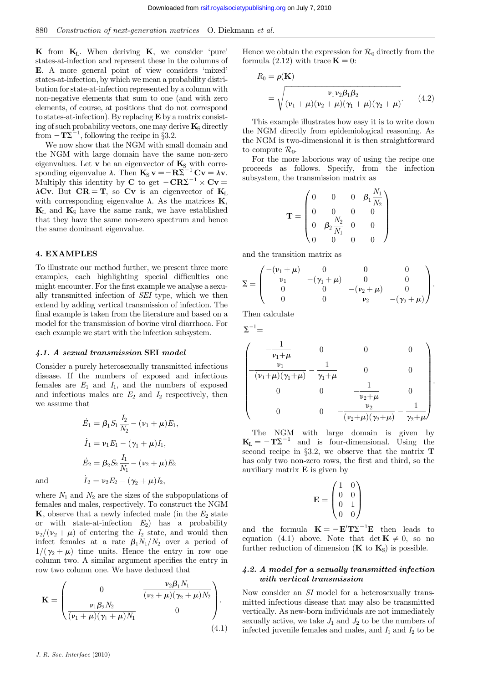K from  $K<sub>L</sub>$ . When deriving K, we consider 'pure' states-at-infection and represent these in the columns of E. A more general point of view considers 'mixed' states-at-infection, by which we mean a probability distribution for state-at-infection represented by a column with non-negative elements that sum to one (and with zero elements, of course, at positions that do not correspond to states-at-infection). By replacing E by a matrix consisting of such probability vectors, one may derive  $K_S$  directly from  $-\mathbf{T}\Sigma^{-1}$ , following the recipe in §3.2.

We now show that the NGM with small domain and the NGM with large domain have the same non-zero eigenvalues. Let  $\bf{v}$  be an eigenvector of  $\bf{K}_{S}$  with corresponding eigenvalue  $\lambda$ . Then  $\mathbf{K}_{\rm S} \mathbf{v} = -\mathbf{R} \Sigma^{-1} \mathbf{C} \mathbf{v} = \lambda \mathbf{v}$ . Multiply this identity by  $\overline{\mathbf{C}}$  to get  $-\overline{\mathbf{C}\mathbf{R}\mathbf{\Sigma}}^{-1} \times \mathbf{C}\mathbf{v} =$  $\lambda$ Cv. But CR = T, so Cv is an eigenvector of  $K_L$ with corresponding eigenvalue  $\lambda$ . As the matrices **K**,  $K_L$  and  $K_S$  have the same rank, we have established that they have the same non-zero spectrum and hence the same dominant eigenvalue.

#### 4. EXAMPLES

To illustrate our method further, we present three more examples, each highlighting special difficulties one might encounter. For the first example we analyse a sexually transmitted infection of SEI type, which we then extend by adding vertical transmission of infection. The final example is taken from the literature and based on a model for the transmission of bovine viral diarrhoea. For each example we start with the infection subsystem.

#### 4.1. A sexual transmission SEI model

Consider a purely heterosexually transmitted infectious disease. If the numbers of exposed and infectious females are  $E_1$  and  $I_1$ , and the numbers of exposed and infectious males are  $E_2$  and  $I_2$  respectively, then we assume that

$$
\dot{E}_1 = \beta_1 S_1 \frac{I_2}{N_2} - (\nu_1 + \mu) E_1,
$$
  
\n
$$
\dot{I}_1 = \nu_1 E_1 - (\gamma_1 + \mu) I_1,
$$
  
\n
$$
\dot{E}_2 = \beta_2 S_2 \frac{I_1}{N_1} - (\nu_2 + \mu) E_2
$$
  
\n
$$
\dot{I}_2 = \nu_2 E_2 - (\gamma_2 + \mu) I_2,
$$

and \_

where  $N_1$  and  $N_2$  are the sizes of the subpopulations of females and males, respectively. To construct the NGM **K**, observe that a newly infected male (in the  $E_2$  state or with state-at-infection  $E_2$ ) has a probability  $\nu_2/(\nu_2 + \mu)$  of entering the  $I_2$  state, and would then infect females at a rate  $\beta_1N_1/N_2$  over a period of  $1/(\gamma_2 + \mu)$  time units. Hence the entry in row one column two. A similar argument specifies the entry in row two column one. We have deduced that

$$
\mathbf{K} = \begin{pmatrix} 0 & \frac{\nu_2 \beta_1 N_1}{(\nu_2 + \mu)(\gamma_2 + \mu)N_2} \\ \frac{\nu_1 \beta_2 N_2}{(\nu_1 + \mu)(\gamma_1 + \mu)N_1} & 0 \end{pmatrix} .
$$
\n(4.1)

Hence we obtain the expression for  $\mathcal{R}_0$  directly from the formula (2.12) with trace  $\mathbf{K} = 0$ :

$$
R_0 = \rho(\mathbf{K})
$$
  
= 
$$
\sqrt{\frac{\nu_1 \nu_2 \beta_1 \beta_2}{(\nu_1 + \mu)(\nu_2 + \mu)(\gamma_1 + \mu)(\gamma_2 + \mu)}}.
$$
 (4.2)

This example illustrates how easy it is to write down the NGM directly from epidemiological reasoning. As the NGM is two-dimensional it is then straightforward to compute  $\mathcal{R}_0$ .

For the more laborious way of using the recipe one proceeds as follows. Specify, from the infection subsystem, the transmission matrix as

$$
\mathbf{T} = \begin{pmatrix} 0 & 0 & 0 & \beta_1 \frac{N_1}{N_2} \\ 0 & 0 & 0 & 0 \\ 0 & \beta_2 \frac{N_2}{N_1} & 0 & 0 \\ 0 & 0 & 0 & 0 \end{pmatrix}
$$

and the transition matrix as

$$
\Sigma = \begin{pmatrix} -(v_1 + \mu) & 0 & 0 & 0 \\ v_1 & -(v_1 + \mu) & 0 & 0 \\ 0 & 0 & -(v_2 + \mu) & 0 \\ 0 & 0 & v_2 & -(v_2 + \mu) \end{pmatrix}.
$$

Then calculate

 $\Sigma^{-1}$  =

$$
\left(\begin{array}{cccc} -\frac{1}{\nu_1+\mu} & 0 & 0 & 0 \\ \frac{\nu_1}{(\nu_1+\mu)(\gamma_1+\mu)} - \frac{1}{\gamma_1+\mu} & 0 & 0 \\ 0 & 0 & -\frac{1}{\nu_2+\mu} & 0 \\ 0 & 0 & -\frac{\nu_2}{(\nu_2+\mu)(\gamma_2+\mu)} - \frac{1}{\gamma_2+\mu} \end{array}\right).
$$

The NGM with large domain is given by  $K_{L} = -T\Sigma^{-1}$  and is four-dimensional. Using the second recipe in  $\S 3.2$ , we observe that the matrix **T** has only two non-zero rows, the first and third, so the auxiliary matrix  $E$  is given by

$$
\mathbf{E} = \begin{pmatrix} 1 & 0 \\ 0 & 0 \\ 0 & 1 \\ 0 & 0 \end{pmatrix}
$$

and the formula  $\mathbf{K} = -\mathbf{E}'\mathbf{T}\Sigma^{-1}\mathbf{E}$  then leads to equation (4.1) above. Note that  $\det K \neq 0$ , so no further reduction of dimension  $(K$  to  $K<sub>S</sub>$ ) is possible.

#### 4.2. A model for a sexually transmitted infection with vertical transmission

Now consider an SI model for a heterosexually transmitted infectious disease that may also be transmitted vertically. As new-born individuals are not immediately sexually active, we take  $J_1$  and  $J_2$  to be the numbers of infected juvenile females and males, and  $I_1$  and  $I_2$  to be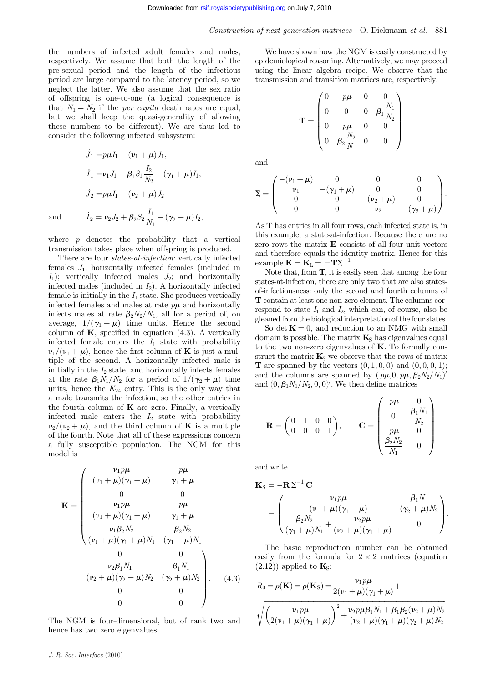the numbers of infected adult females and males, respectively. We assume that both the length of the pre-sexual period and the length of the infectious period are large compared to the latency period, so we neglect the latter. We also assume that the sex ratio of offspring is one-to-one (a logical consequence is that  $N_1 = N_2$  if the *per capita* death rates are equal, but we shall keep the quasi-generality of allowing these numbers to be different). We are thus led to consider the following infected subsystem:

$$
\dot{J}_1 = p\mu I_1 - (\nu_1 + \mu) J_1,
$$
  
\n
$$
\dot{I}_1 = \nu_1 J_1 + \beta_1 S_1 \frac{I_2}{N_2} - (\gamma_1 + \mu) I_1,
$$
  
\n
$$
\dot{J}_2 = p\mu I_1 - (\nu_2 + \mu) J_2
$$

and \_

$$
\dot{I}_2 = \nu_2 J_2 + \beta_2 S_2 \frac{I_1}{N_1} - (\gamma_2 + \mu) I_2,
$$

where  $p$  denotes the probability that a vertical transmission takes place when offspring is produced.

There are four states-at-infection: vertically infected females  $J_1$ ; horizontally infected females (included in  $I_1$ ); vertically infected males  $J_2$ ; and horizontally infected males (included in  $I_2$ ). A horizontally infected female is initially in the  $I_1$  state. She produces vertically infected females and males at rate  $p\mu$  and horizontally infects males at rate  $\beta_2N_2/N_1$ , all for a period of, on average,  $1/(\gamma_1 + \mu)$  time units. Hence the second column of  $K$ , specified in equation (4.3). A vertically infected female enters the  $I_1$  state with probability  $\nu_1/(\nu_1 + \mu)$ , hence the first column of **K** is just a multiple of the second. A horizontally infected male is initially in the  $I_2$  state, and horizontally infects females at the rate  $\beta_1N_1/N_2$  for a period of  $1/(\gamma_2 + \mu)$  time units, hence the  $K_{24}$  entry. This is the only way that a male transmits the infection, so the other entries in the fourth column of  $\bf{K}$  are zero. Finally, a vertically infected male enters the  $I_2$  state with probability  $\nu_2/(\nu_2 + \mu)$ , and the third column of **K** is a multiple of the fourth. Note that all of these expressions concern a fully susceptible population. The NGM for this model is

$$
\mathbf{K} = \begin{pmatrix} \frac{\nu_1 p \mu}{(\nu_1 + \mu)(\gamma_1 + \mu)} & \frac{p \mu}{\gamma_1 + \mu} \\ 0 & 0 \\ \frac{\nu_1 p \mu}{(\nu_1 + \mu)(\gamma_1 + \mu)} & \frac{p \mu}{\gamma_1 + \mu} \\ \frac{\nu_1 \beta_2 N_2}{(\nu_1 + \mu)(\gamma_1 + \mu) N_1} & \frac{\beta_2 N_2}{(\gamma_1 + \mu) N_1} \\ 0 & 0 \\ \frac{\nu_2 \beta_1 N_1}{(\nu_2 + \mu)(\gamma_2 + \mu) N_2} & \frac{\beta_1 N_1}{(\gamma_2 + \mu) N_2} \\ 0 & 0 \\ 0 & 0 \end{pmatrix} .
$$
 (4.3)

The NGM is four-dimensional, but of rank two and hence has two zero eigenvalues.

We have shown how the NGM is easily constructed by epidemiological reasoning. Alternatively, we may proceed using the linear algebra recipe. We observe that the transmission and transition matrices are, respectively,

$$
\mathbf{T} = \begin{pmatrix} 0 & p\mu & 0 & 0 \\ 0 & 0 & 0 & \beta_1 \frac{N_1}{N_2} \\ 0 & p\mu & 0 & 0 \\ 0 & \beta_2 \frac{N_2}{N_1} & 0 & 0 \end{pmatrix}
$$

and

$$
\Sigma = \begin{pmatrix} -(\nu_1 + \mu) & 0 & 0 & 0 \\ \nu_1 & -(\gamma_1 + \mu) & 0 & 0 \\ 0 & 0 & -(\nu_2 + \mu) & 0 \\ 0 & 0 & \nu_2 & -(\gamma_2 + \mu) \end{pmatrix}.
$$

As T has entries in all four rows, each infected state is, in this example, a state-at-infection. Because there are no zero rows the matrix E consists of all four unit vectors and therefore equals the identity matrix. Hence for this example  $\mathbf{K} = \mathbf{K}_{\text{L}} = -\mathbf{T}\Sigma^{-1}$ .

Note that, from  $T$ , it is easily seen that among the four states-at-infection, there are only two that are also statesof-infectiousness: only the second and fourth columns of T contain at least one non-zero element. The columns correspond to state  $I_1$  and  $I_2$ , which can, of course, also be gleaned from the biological interpretation of the four states.

So det  $K = 0$ , and reduction to an NMG with small domain is possible. The matrix  $K<sub>S</sub>$  has eigenvalues equal to the two non-zero eigenvalues of  $K$ . To formally construct the matrix  $\mathbf{K}_{\mathrm{S}}$  we observe that the rows of matrix **T** are spanned by the vectors  $(0, 1, 0, 0)$  and  $(0, 0, 0, 1)$ ; and the columns are spanned by  $(p\mu, 0, p\mu, \beta_2N_2/N_1)'$ and  $(0, \beta_1 N_1/N_2, 0, 0)'$ . We then define matrices

$$
\mathbf{R} = \begin{pmatrix} 0 & 1 & 0 & 0 \\ 0 & 0 & 0 & 1 \end{pmatrix}, \qquad \mathbf{C} = \begin{pmatrix} p\mu & 0 \\ 0 & \frac{\beta_1 N_1}{N_2} \\ p\mu & 0 \\ \frac{\beta_2 N_2}{N_1} & 0 \end{pmatrix}
$$

and write

$$
\mathbf{K}_{\rm S} = -\mathbf{R} \Sigma^{-1} \mathbf{C}
$$
\n
$$
= \begin{pmatrix}\n\frac{v_1 p \mu}{(v_1 + \mu)(\gamma_1 + \mu)} & \frac{\beta_1 N_1}{(\gamma_2 + \mu) N_2} \\
\frac{\beta_2 N_2}{(\gamma_1 + \mu) N_1} + \frac{v_2 p \mu}{(v_2 + \mu)(\gamma_1 + \mu)} & 0\n\end{pmatrix}.
$$

The basic reproduction number can be obtained easily from the formula for  $2 \times 2$  matrices (equation  $(2.12)$ ) applied to  $\mathbf{K}_\text{S}$ :

$$
R_0 = \rho(\mathbf{K}) = \rho(\mathbf{K}_{\rm S}) = \frac{v_1 p \mu}{2(v_1 + \mu)(\gamma_1 + \mu)} +
$$
  

$$
\sqrt{\left(\frac{v_1 p \mu}{2(v_1 + \mu)(\gamma_1 + \mu)}\right)^2 + \frac{v_2 p \mu \beta_1 N_1 + \beta_1 \beta_2 (v_2 + \mu) N_2}{(v_2 + \mu)(\gamma_1 + \mu)(\gamma_2 + \mu) N_2}}.
$$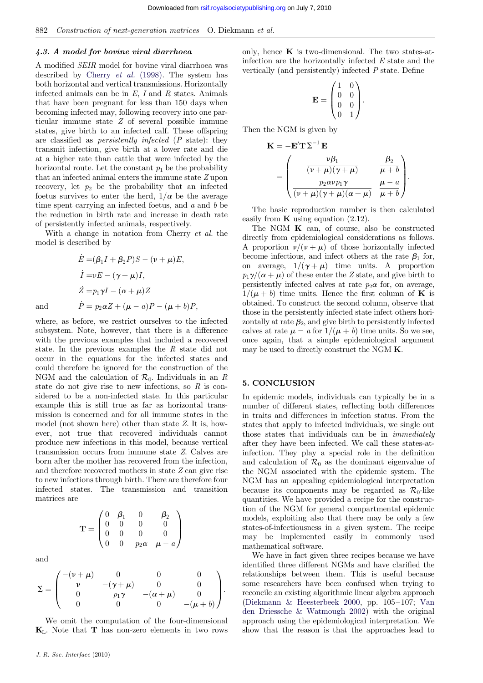# 4.3. A model for bovine viral diarrhoea

A modified SEIR model for bovine viral diarrhoea was described by [Cherry](#page-13-0) et al. (1998). The system has both horizontal and vertical transmissions. Horizontally infected animals can be in  $E$ ,  $I$  and  $R$  states. Animals that have been pregnant for less than 150 days when becoming infected may, following recovery into one particular immune state Z of several possible immune states, give birth to an infected calf. These offspring are classified as persistently infected (P state): they transmit infection, give birth at a lower rate and die at a higher rate than cattle that were infected by the horizontal route. Let the constant  $p_1$  be the probability that an infected animal enters the immune state Z upon recovery, let  $p_2$  be the probability that an infected foetus survives to enter the herd,  $1/\alpha$  be the average time spent carrying an infected foetus, and  $a$  and  $b$  be the reduction in birth rate and increase in death rate of persistently infected animals, respectively.

With a change in notation from Cherry *et al.* the model is described by

$$
\dot{E} = (\beta_1 I + \beta_2 P)S - (\nu + \mu)E,
$$
\n
$$
\dot{I} = \nu E - (\gamma + \mu)I,
$$
\n
$$
\dot{Z} = p_1 \gamma I - (\alpha + \mu)Z
$$
\nand\n
$$
\dot{P} = p_2 \alpha Z + (\mu - a)P - (\mu + b)P,
$$

where, as before, we restrict ourselves to the infected subsystem. Note, however, that there is a difference with the previous examples that included a recovered state. In the previous examples the  $R$  state did not occur in the equations for the infected states and could therefore be ignored for the construction of the NGM and the calculation of  $\mathcal{R}_0$ . Individuals in an R state do not give rise to new infections, so  $R$  is considered to be a non-infected state. In this particular example this is still true as far as horizontal transmission is concerned and for all immune states in the model (not shown here) other than state Z. It is, however, not true that recovered individuals cannot produce new infections in this model, because vertical transmission occurs from immune state Z. Calves are born after the mother has recovered from the infection, and therefore recovered mothers in state Z can give rise to new infections through birth. There are therefore four infected states. The transmission and transition matrices are

$$
\mathbf{T} = \begin{pmatrix} 0 & \beta_1 & 0 & \beta_2 \\ 0 & 0 & 0 & 0 \\ 0 & 0 & 0 & 0 \\ 0 & 0 & p_2\alpha & \mu - a \end{pmatrix}
$$

and

$$
\Sigma = \begin{pmatrix}\n-(\nu + \mu) & 0 & 0 & 0 \\
\nu & -(\gamma + \mu) & 0 & 0 \\
0 & p_1 \gamma & -(\alpha + \mu) & 0 \\
0 & 0 & 0 & -(\mu + b)\n\end{pmatrix}.
$$

We omit the computation of the four-dimensional  $K_L$ . Note that **T** has non-zero elements in two rows

J. R. Soc. Interface (2010)

only, hence  $\bf{K}$  is two-dimensional. The two states-atinfection are the horizontally infected  $E$  state and the vertically (and persistently) infected P state. Define

$$
\mathbf{E} = \begin{pmatrix} 1 & 0 \\ 0 & 0 \\ 0 & 0 \\ 0 & 1 \end{pmatrix}.
$$

Then the NGM is given by

$$
\mathbf{K} = -\mathbf{E}' \mathbf{T} \Sigma^{-1} \mathbf{E}
$$
  
= 
$$
\begin{pmatrix} \frac{\nu \beta_1}{(\nu + \mu)(\gamma + \mu)} & \frac{\beta_2}{\mu + b} \\ \frac{p_2 \alpha \nu p_1 \gamma}{(\nu + \mu)(\gamma + \mu)(\alpha + \mu)} & \frac{\mu - a}{\mu + b} \end{pmatrix}.
$$

The basic reproduction number is then calculated easily from  $\bf{K}$  using equation (2.12).

The NGM **K** can, of course, also be constructed directly from epidemiological considerations as follows. A proportion  $\nu/(\nu + \mu)$  of those horizontally infected become infectious, and infect others at the rate  $\beta_1$  for, on average,  $1/(\gamma + \mu)$  time units. A proportion  $p_1\gamma/(\alpha + \mu)$  of these enter the Z state, and give birth to persistently infected calves at rate  $p_2\alpha$  for, on average,  $1/(\mu + b)$  time units. Hence the first column of **K** is obtained. To construct the second column, observe that those in the persistently infected state infect others horizontally at rate  $\beta_2$ , and give birth to persistently infected calves at rate  $\mu - a$  for  $1/(\mu + b)$  time units. So we see, once again, that a simple epidemiological argument may be used to directly construct the NGM  $K$ .

# 5. CONCLUSION

In epidemic models, individuals can typically be in a number of different states, reflecting both differences in traits and differences in infection status. From the states that apply to infected individuals, we single out those states that individuals can be in immediately after they have been infected. We call these states-atinfection. They play a special role in the definition and calculation of  $\mathcal{R}_0$  as the dominant eigenvalue of the NGM associated with the epidemic system. The NGM has an appealing epidemiological interpretation because its components may be regarded as  $\mathcal{R}_0$ -like quantities. We have provided a recipe for the construction of the NGM for general compartmental epidemic models, exploiting also that there may be only a few states-of-infectiousness in a given system. The recipe may be implemented easily in commonly used mathematical software.

We have in fact given three recipes because we have identified three different NGMs and have clarified the relationships between them. This is useful because some researchers have been confused when trying to reconcile an existing algorithmic linear algebra approach ([Diekmann & Heesterbeek 2000,](#page-13-0) pp. 105– 107; [Van](#page-13-0) [den Driessche & Watmough 2002\)](#page-13-0) with the original approach using the epidemiological interpretation. We show that the reason is that the approaches lead to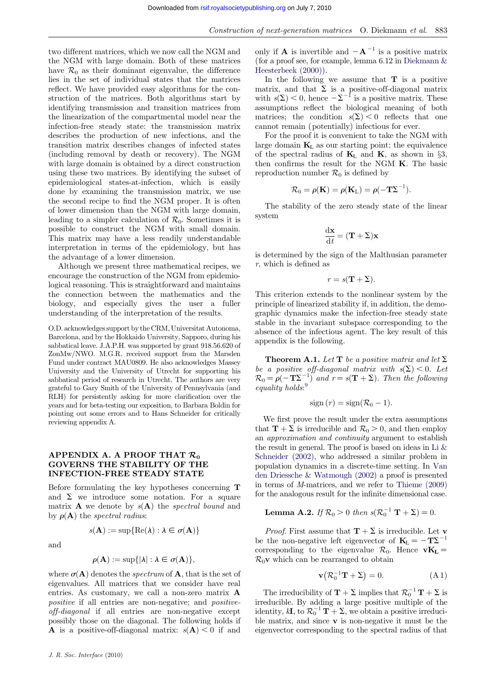two different matrices, which we now call the NGM and the NGM with large domain. Both of these matrices have  $\mathcal{R}_0$  as their dominant eigenvalue, the difference lies in the set of individual states that the matrices reflect. We have provided easy algorithms for the construction of the matrices. Both algorithms start by identifying transmission and transition matrices from the linearization of the compartmental model near the infection-free steady state: the transmission matrix describes the production of new infections, and the transition matrix describes changes of infected states (including removal by death or recovery). The NGM with large domain is obtained by a direct construction using these two matrices. By identifying the subset of epidemiological states-at-infection, which is easily done by examining the transmission matrix, we use the second recipe to find the NGM proper. It is often of lower dimension than the NGM with large domain, leading to a simpler calculation of  $\mathcal{R}_0$ . Sometimes it is possible to construct the NGM with small domain. This matrix may have a less readily understandable interpretation in terms of the epidemiology, but has the advantage of a lower dimension.

Although we present three mathematical recipes, we encourage the construction of the NGM from epidemiological reasoning. This is straightforward and maintains the connection between the mathematics and the biology, and especially gives the user a fuller understanding of the interpretation of the results.

O.D. acknowledges support by the CRM, Universitat Autonoma, Barcelona, and by the Hokkaido University, Sapporo, during his sabbatical leave. J.A.P.H. was supported by grant 918.56.620 of ZonMw/NWO. M.G.R. received support from the Marsden Fund under contract MAU0809. He also acknowledges Massey University and the University of Utrecht for supporting his sabbatical period of research in Utrecht. The authors are very grateful to Gary Smith of the University of Pennsylvania (and RLH) for persistently asking for more clarification over the years and for beta-testing our exposition, to Barbara Boldin for pointing out some errors and to Hans Schneider for critically reviewing appendix A.

#### APPENDIX A. A PROOF THAT  $\mathcal{R}_0$ GOVERNS THE STABILITY OF THE INFECTION-FREE STEADY STATE

Before formulating the key hypotheses concerning T and  $\Sigma$  we introduce some notation. For a square matrix **A** we denote by  $s(A)$  the *spectral bound* and by  $\rho(\mathbf{A})$  the spectral radius:

and

$$
\rho(\mathbf{A}) := \sup\{|\lambda| : \lambda \in \sigma(\mathbf{A})\},
$$

 $s(\mathbf{A}) := \sup \{ \text{Re}(\lambda) : \lambda \in \sigma(\mathbf{A}) \}$ 

where  $\sigma(A)$  denotes the *spectrum* of A, that is the set of eigenvalues. All matrices that we consider have real entries. As customary, we call a non-zero matrix A positive if all entries are non-negative; and *positive*off-diagonal if all entries are non-negative except possibly those on the diagonal. The following holds if **A** is a positive-off-diagonal matrix:  $s(A) < 0$  if and only if **A** is invertible and  $-A^{-1}$  is a positive matrix (for a proof see, for example, lemma  $6.12$  in Diekmann  $\&$ [Heesterbeek \(2000\)](#page-13-0)).

In the following we assume that  $T$  is a positive matrix, and that  $\Sigma$  is a positive-off-diagonal matrix with  $s(\Sigma) < 0$ , hence  $-\Sigma^{-1}$  is a positive matrix. These assumptions reflect the biological meaning of both matrices; the condition  $s(\Sigma) < 0$  reflects that one cannot remain (potentially) infectious for ever.

For the proof it is convenient to take the NGM with large domain  $K<sub>L</sub>$  as our starting point; the equivalence of the spectral radius of  $K<sub>L</sub>$  and  $K$ , as shown in §3, then confirms the result for the NGM K. The basic reproduction number  $\mathcal{R}_0$  is defined by

$$
\mathcal{R}_0=\rho(\mathbf{K})=\rho(\mathbf{K}_\mathrm{L})=\rho(-\mathbf{T}\Sigma^{-1}).
$$

The stability of the zero steady state of the linear system

$$
\frac{\mathrm{d}\mathbf{x}}{\mathrm{d}t} = (\mathbf{T} + \Sigma)\mathbf{x}
$$

is determined by the sign of the Malthusian parameter r, which is defined as

$$
r = s(\mathbf{T} + \Sigma).
$$

This criterion extends to the nonlinear system by the principle of linearized stability if, in addition, the demographic dynamics make the infection-free steady state stable in the invariant subspace corresponding to the absence of the infectious agent. The key result of this appendix is the following.

**Theorem A.1.** Let **T** be a positive matrix and let  $\Sigma$ be a positive off-diagonal matrix with  $s(\Sigma) < 0$ . Let  $\mathcal{R}_0 = \rho(-\mathbf{T}\Sigma^{-1})^{\dagger}$  and  $r = s(\mathbf{T} + \Sigma)$ . Then the following equality holds:<sup>[9](#page-13-0)</sup>

$$
\operatorname{sign}(r) = \operatorname{sign}(\mathcal{R}_0 - 1).
$$

We first prove the result under the extra assumptions that  $\mathbf{T} + \Sigma$  is irreducible and  $\mathcal{R}_0 > 0$ , and then employ an approximation and continuity argument to establish the result in general. The proof is based on ideas in [Li &](#page-13-0) [Schneider \(2002\)](#page-13-0), who addressed a similar problem in population dynamics in a discrete-time setting. In [Van](#page-13-0) [den Driessche & Watmough \(2002\)](#page-13-0) a proof is presented in terms of M-matrices, and we refer to [Thieme \(2009\)](#page-13-0) for the analogous result for the infinite dimensional case.

**Lemma A.2.** If 
$$
\mathcal{R}_0 > 0
$$
 then  $s(\mathcal{R}_0^{-1} \mathbf{T} + \Sigma) = 0$ .

*Proof.* First assume that  $\mathbf{T} + \Sigma$  is irreducible. Let **v** be the non-negative left eigenvector of  $\mathbf{K}_L = -\mathbf{T}\boldsymbol{\Sigma}^{-1}$ corresponding to the eigenvalue  $\mathcal{R}_0$ . Hence  $vK_L =$  $\mathcal{R}_0$ **v** which can be rearranged to obtain

$$
\mathbf{v}\big(\mathcal{R}_0^{-1}\mathbf{T} + \Sigma\big) = 0.\tag{A1}
$$

The irreducibility of  $\mathbf{T} + \Sigma$  implies that  $\mathcal{R}_0^{-1} \mathbf{T} + \Sigma$  is irreducible. By adding a large positive multiple of the identity,  $kI$ , to  $\mathcal{R}_0^{-1}T + \Sigma$ , we obtain a positive irreducible matrix, and since v is non-negative it must be the eigenvector corresponding to the spectral radius of that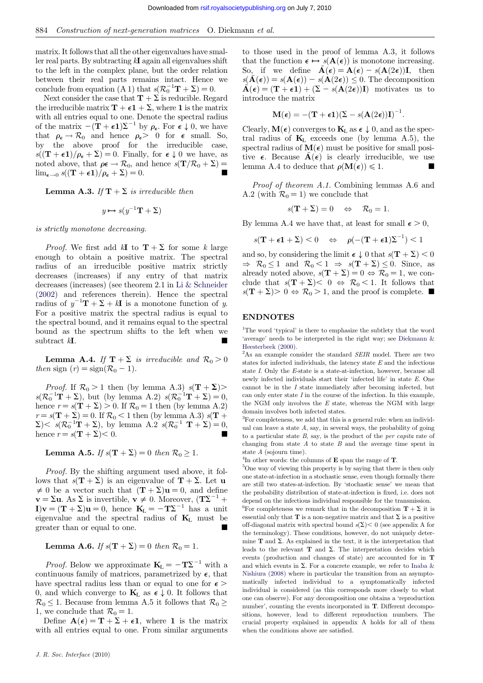<span id="page-12-0"></span>matrix. It follows that all the other eigenvalues have smaller real parts. By subtracting  $kI$  again all eigenvalues shift to the left in the complex plane, but the order relation between their real parts remains intact. Hence we conclude from equation (A 1) that  $s(\mathcal{R}_0^{-1}\mathbf{T} + \Sigma) = 0$ .

Next consider the case that  $\mathbf{T} + \Sigma$  is reducible. Regard the irreducible matrix  $\mathbf{T} + \epsilon \mathbf{1} + \Sigma$ , where 1 is the matrix with all entries equal to one. Denote the spectral radius of the matrix  $-(\mathbf{T} + \boldsymbol{\epsilon} \mathbf{1})\mathbf{\Sigma}^{-1}$  by  $\rho_{\boldsymbol{\epsilon}}$ . For  $\boldsymbol{\epsilon} \downarrow 0$ , we have that  $\rho_{\epsilon} \to \mathcal{R}_{0}$  and hence  $\rho_{\epsilon} > 0$  for  $\epsilon$  small. So, by the above proof for the irreducible case,  $s((\mathbf{T} + \epsilon \mathbf{1})/\rho_{\epsilon} + \Sigma) = 0$ . Finally, for  $\epsilon \downarrow 0$  we have, as noted above, that  $\rho \epsilon \to \mathcal{R}_0$ , and hence  $s(\mathbf{T}/\mathcal{R}_0 + \Sigma) =$  $\lim_{\epsilon \to 0} s((\mathbf{T} + \epsilon \mathbf{1})/\rho_{\epsilon} + \Sigma) = 0.$ 

**Lemma A.3.** If  $T + \Sigma$  is irreducible then

$$
y \mapsto s(y^{-1}\mathbf{T} + \Sigma)
$$

is strictly monotone decreasing.

*Proof.* We first add  $kI$  to  $T + \Sigma$  for some k large enough to obtain a positive matrix. The spectral radius of an irreducible positive matrix strictly decreases (increases) if any entry of that matrix decreases (increases) (see theorem 2.1 in [Li & Schneider](#page-13-0) [\(2002\)](#page-13-0) and references therein). Hence the spectral radius of  $y^{-1}\mathbf{T} + \Sigma + k\mathbf{I}$  is a monotone function of y. For a positive matrix the spectral radius is equal to the spectral bound, and it remains equal to the spectral bound as the spectrum shifts to the left when we subtract  $kI$ .

**Lemma A.4.** If  $\mathbf{T} + \Sigma$  is irreducible and  $\mathcal{R}_0 > 0$ then sign  $(r) = sign(\mathcal{R}_0 - 1)$ .

*Proof.* If  $\mathcal{R}_0 > 1$  then (by lemma A.3)  $s(\mathbf{T} + \mathbf{\Sigma})$  $s(\mathcal{R}_0^{-1}\mathbf{T} + \Sigma)$ , but (by lemma A.2)  $s(\mathcal{R}_0^{-1}\mathbf{T} + \Sigma) = 0$ , hence  $r = s(\mathbf{T} + \Sigma) > 0$ . If  $\mathcal{R}_0 = 1$  then (by lemma A.2)  $r = s(\mathbf{T} + \Sigma) = 0$ . If  $\mathcal{R}_0 < 1$  then (by lemma A.3)  $s(\mathbf{T} + \Sigma)$  $(\mathbf{\Sigma}) < s(\mathcal{R}_0^{-1}\mathbf{T} + \mathbf{\Sigma})$ , by lemma  $(\mathbf{A} \cdot \mathbf{2}) s(\mathcal{R}_0^{-1} \mathbf{T} + \mathbf{\Sigma}) = 0$ , hence  $r = s(\mathbf{T} + \Sigma) < 0$ .

**Lemma A.5.** If  $s(\mathbf{T} + \Sigma) = 0$  then  $\mathcal{R}_0 \geq 1$ .

Proof. By the shifting argument used above, it follows that  $s(\mathbf{T} + \Sigma)$  is an eigenvalue of  $\mathbf{T} + \Sigma$ . Let **u**  $\neq 0$  be a vector such that  $(\mathbf{T} + \Sigma) \mathbf{u} = 0$ , and define  $\mathbf{v} = \Sigma \mathbf{u}$ . As  $\Sigma$  is invertible,  $\mathbf{v} \neq 0$ . Moreover,  $(\mathbf{T} \Sigma^{-1} + \Sigma \mathbf{v})$  $\mathbf{I} \mathbf{v} = (\mathbf{T} + \Sigma) \mathbf{u} = 0$ , hence  $\mathbf{K}_{\mathbf{L}} = -\mathbf{T} \Sigma^{-1}$  has a unit eigenvalue and the spectral radius of  $K<sub>L</sub>$  must be greater than or equal to one.

**Lemma A.6.** If  $s(\mathbf{T} + \Sigma) = 0$  then  $\mathcal{R}_0 = 1$ .

*Proof.* Below we approximate  $\mathbf{K}_{\text{L}} = -\mathbf{T}\boldsymbol{\Sigma}^{-1}$  with a continuous family of matrices, parametrized by  $\epsilon$ , that have spectral radius less than or equal to one for  $\epsilon$ 0, and which converge to  $\mathbf{K}_{\text{L}}$  as  $\boldsymbol{\epsilon} \downarrow 0$ . It follows that  $\mathcal{R}_0 \leq 1$ . Because from lemma A.5 it follows that  $\mathcal{R}_0 \geq$ 1, we conclude that  $\mathcal{R}_0 = 1$ .

Define  $\mathbf{A}(\epsilon) = \mathbf{T} + \Sigma + \epsilon \mathbf{1}$ , where 1 is the matrix with all entries equal to one. From similar arguments to those used in the proof of lemma A.3, it follows that the function  $\epsilon \mapsto s(\mathbf{A}(\epsilon))$  is monotone increasing. So, if we define  $\mathbf{A}(\boldsymbol{\epsilon}) = \mathbf{A}(\boldsymbol{\epsilon}) - s(\mathbf{A}(2\boldsymbol{\epsilon}))\mathbf{I}$ , then  $s(\tilde{\mathbf{A}}(\epsilon)) = s(\mathbf{A}(\epsilon)) - s(\mathbf{A}(2\epsilon)) \leq 0$ . The decomposition  $\tilde{\mathbf{A}}(\epsilon) = (\mathbf{T} + \epsilon \mathbf{1}) + (\Sigma - s(\mathbf{A}(2\epsilon))\mathbf{I})$  motivates us to introduce the matrix

$$
\mathbf{M}(\boldsymbol{\epsilon}) = -(\mathbf{T} + \boldsymbol{\epsilon}\mathbf{1})(\boldsymbol{\Sigma} - s(\mathbf{A}(2\boldsymbol{\epsilon}))\mathbf{I})^{-1}
$$

:

Clearly,  $\mathbf{M}(\boldsymbol{\epsilon})$  converges to  $\mathbf{K}_{\text{L}}$  as  $\boldsymbol{\epsilon} \downarrow 0$ , and as the spectral radius of  $\mathbf{K}_{\text{L}}$  exceeds one (by lemma A.5), the spectral radius of  $\mathbf{M}(\epsilon)$  must be positive for small positive  $\epsilon$ . Because  $\tilde{A}(\epsilon)$  is clearly irreducible, we use lemma A.4 to deduce that  $\rho(\mathbf{M}(\epsilon)) \leq 1$ .

Proof of theorem A.1. Combining lemmas A.6 and A.2 (with  $\mathcal{R}_0 = 1$ ) we conclude that

$$
s(\mathbf{T} + \Sigma) = 0 \quad \Leftrightarrow \quad \mathcal{R}_0 = 1.
$$

By lemma A.4 we have that, at least for small  $\epsilon > 0$ ,

$$
s(\mathbf{T} + \boldsymbol{\epsilon} \mathbf{1} + \boldsymbol{\Sigma}) < 0 \quad \Leftrightarrow \quad \rho(-(\mathbf{T} + \boldsymbol{\epsilon} \mathbf{1})\boldsymbol{\Sigma}^{-1}) < 1
$$

and so, by considering the limit  $\epsilon \downarrow 0$  that  $s(\mathbf{T} + \Sigma) < 0$  $\Rightarrow$   $\mathcal{R}_0 \leq 1$  and  $\mathcal{R}_0 < 1 \Rightarrow s(\mathbf{T} + \Sigma) \leq 0$ . Since, as already noted above,  $s(\mathbf{T} + \Sigma) = 0 \Leftrightarrow \mathcal{R}_0 = 1$ , we conclude that  $s(\mathbf{T} + \Sigma) < 0 \Leftrightarrow \mathcal{R}_0 < 1$ . It follows that  $s(\mathbf{T} + \Sigma) > 0 \Leftrightarrow \mathcal{R}_0 > 1$ , and the proof is complete.

#### ENDNOTES

<sup>1</sup>The word 'typical' is there to emphasize the subtlety that the word 'average' needs to be interpreted in the right way; see [Diekmann &](#page-13-0) [Heesterbeek \(2000\).](#page-13-0)

 ${}^{2}$ As an example consider the standard *SEIR* model. There are two states for infected individuals, the latency state  $E$  and the infectious state I. Only the E-state is a state-at-infection, however, because all newly infected individuals start their 'infected life' in state E. One cannot be in the  $I$  state immediately after becoming infected, but can only enter state  $I$  in the course of the infection. In this example, the NGM only involves the  $E$  state, whereas the NGM with large domain involves both infected states.

<sup>3</sup>For completeness, we add that this is a general rule: when an individual can leave a state  $A$ , say, in several ways, the probability of going to a particular state B, say, is the product of the per capita rate of changing from state A to state B and the average time spent in state A (sojourn time).

 ${}^{4}\text{In}$  other words: the columns of **E** span the range of **T**.

5 One way of viewing this property is by saying that there is then only one state-at-infection in a stochastic sense, even though formally there are still two states-at-infection. By 'stochastic sense' we mean that the probability distribution of state-at-infection is fixed, i.e. does not depend on the infectious individual responsible for the transmission.

<sup>6</sup>For completeness we remark that in the decomposition  $\mathbf{T} + \Sigma$  it is essential only that  $T$  is a non-negative matrix and that  $\Sigma$  is a positive off-diagonal matrix with spectral bound  $s(\Sigma) < 0$  (see appendix A for the terminology). These conditions, however, do not uniquely determine  $T$  and  $\Sigma$ . As explained in the text, it is the interpretation that leads to the relevant  $T$  and  $\Sigma$ . The interpretation decides which events (production and changes of state) are accounted for in T and which events in  $\Sigma$ . For a concrete example, we refer to [Inaba &](#page-13-0) [Nishiura \(2008\)](#page-13-0) where in particular the transition from an asymptomatically infected individual to a symptomatically infected individual is considered (as this corresponds more closely to what one can observe). For any decomposition one obtains a 'reproduction number', counting the events incorporated in **T**. Different decompositions, however, lead to different reproduction numbers. The crucial property explained in appendix A holds for all of them when the conditions above are satisfied.